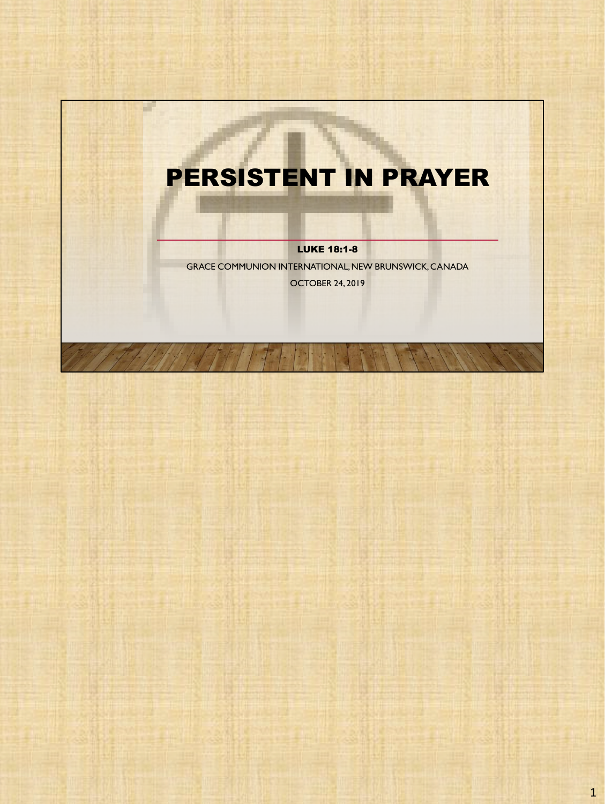# PERSISTENT IN PRAYER

a.

LUKE 18:1-8

GRACE COMMUNION INTERNATIONAL, NEW BRUNSWICK, CANADA OCTOBER 24, 2019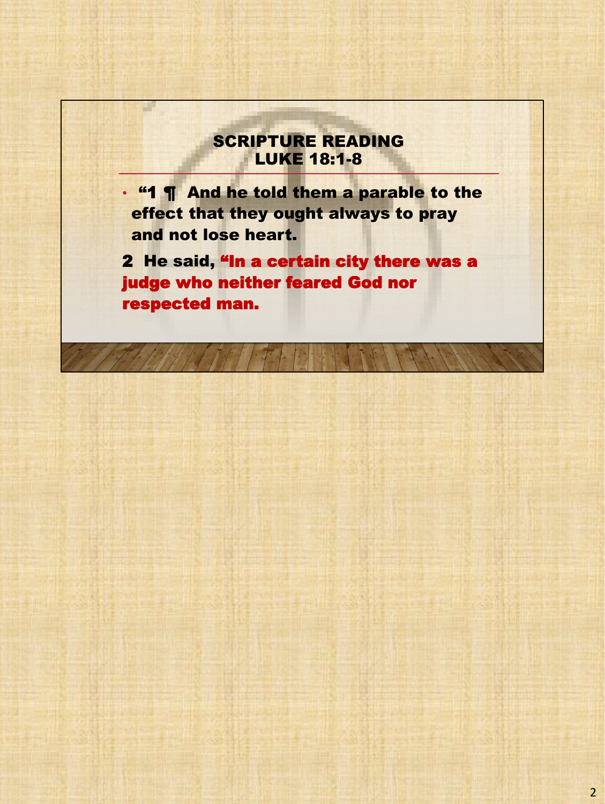### SCRIPTURE READING LUKE 18:1-8

H.

• "1 ¶ And he told them a parable to the effect that they ought always to pray and not lose heart.

2 He said, "In a certain city there was a judge who neither feared God nor respected man.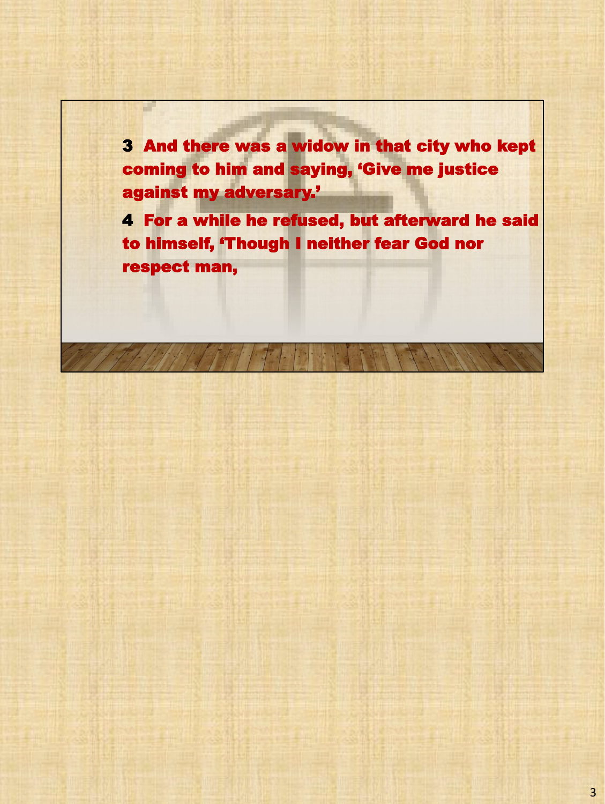3 And there was a widow in that city who kept coming to him and saying, 'Give me justice against my adversary.'

a.

4 For a while he refused, but afterward he said to himself, 'Though I neither fear God nor respect man,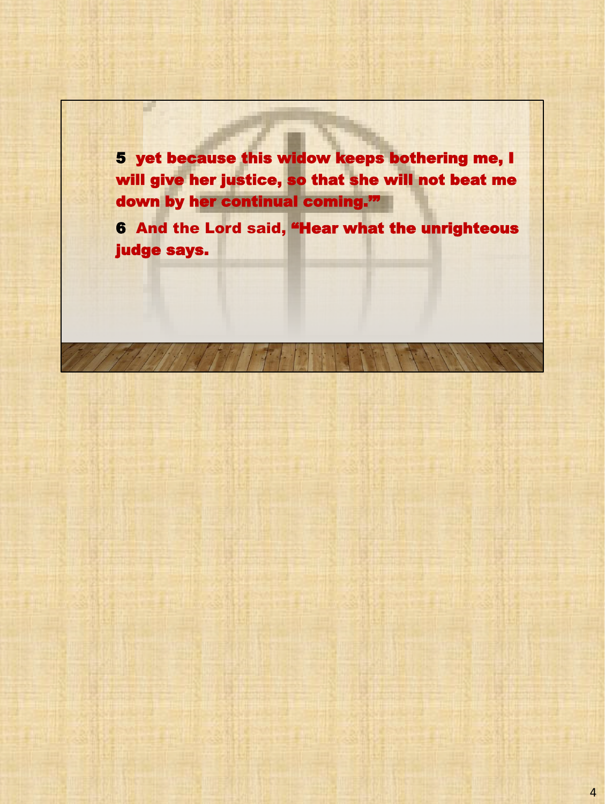5 yet because this widow keeps bothering me, I will give her justice, so that she will not beat me down by her continual coming.'"

a.

6 And the Lord said, "Hear what the unrighteous judge says.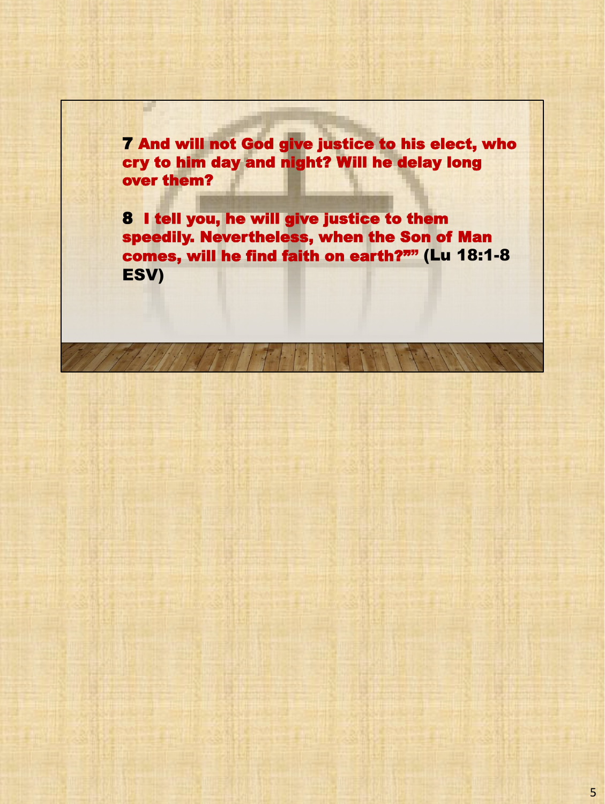7 And will not God give justice to his elect, who cry to him day and night? Will he delay long over them?

a.

8 I tell you, he will give justice to them speedily. Nevertheless, when the Son of Man comes, will he find faith on earth?"" (Lu 18:1-8 ESV)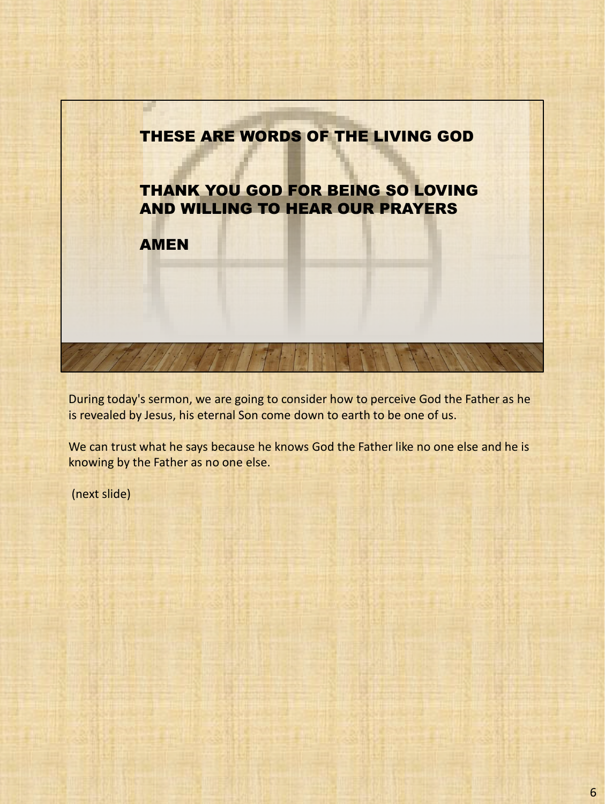

During today's sermon, we are going to consider how to perceive God the Father as he is revealed by Jesus, his eternal Son come down to earth to be one of us.

We can trust what he says because he knows God the Father like no one else and he is knowing by the Father as no one else.

(next slide)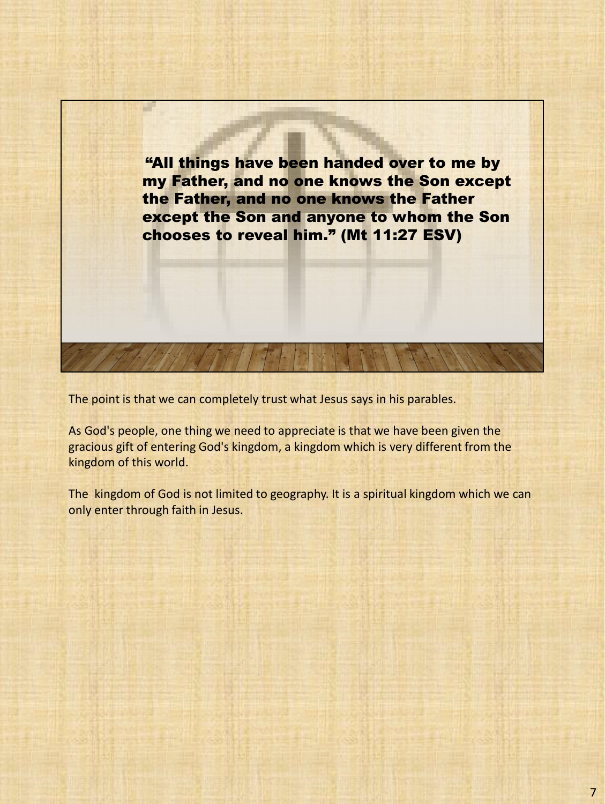

The point is that we can completely trust what Jesus says in his parables.

As God's people, one thing we need to appreciate is that we have been given the gracious gift of entering God's kingdom, a kingdom which is very different from the kingdom of this world.

The kingdom of God is not limited to geography. It is a spiritual kingdom which we can only enter through faith in Jesus.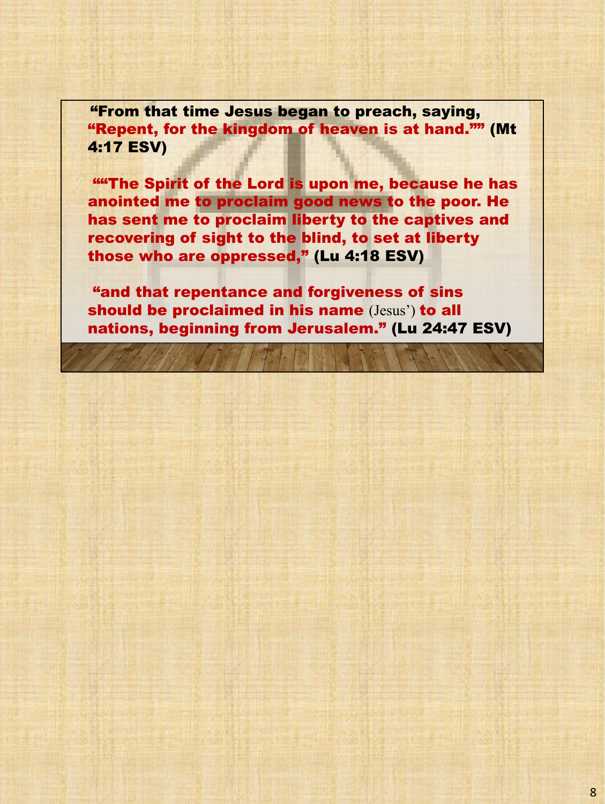"From that time Jesus began to preach, saying, "Repent, for the kingdom of heaven is at hand."" (Mt 4:17 ESV)

**"The Spirit of the Lord is upon me, because he has** anointed me to proclaim good news to the poor. He has sent me to proclaim liberty to the captives and recovering of sight to the blind, to set at liberty those who are oppressed," (Lu 4:18 ESV)

"and that repentance and forgiveness of sins should be proclaimed in his name (Jesus') to all nations, beginning from Jerusalem." (Lu 24:47 ESV)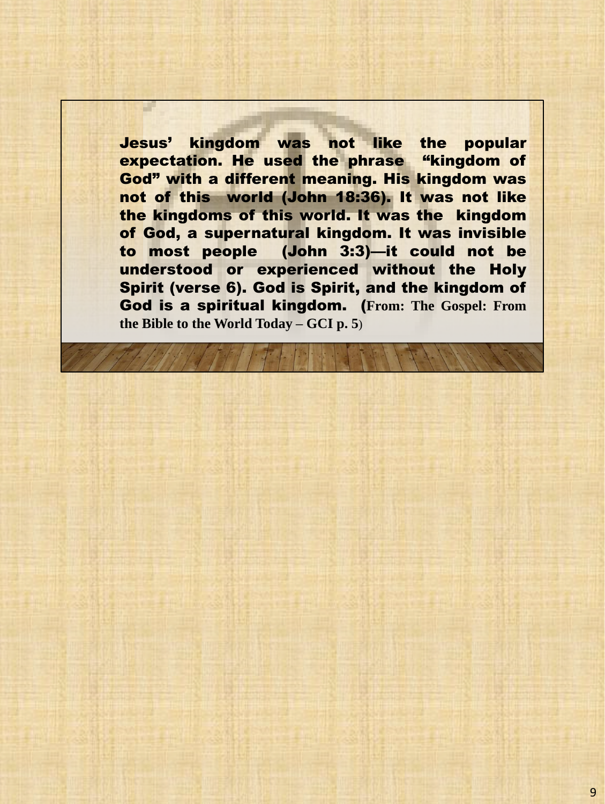Jesus' kingdom was not like the popular expectation. He used the phrase "kingdom of God" with a different meaning. His kingdom was not of this world (John 18:36). It was not like the kingdoms of this world. It was the kingdom of God, a supernatural kingdom. It was invisible to most people (John 3:3)—it could not be understood or experienced without the Holy Spirit (verse 6). God is Spirit, and the kingdom of God is a spiritual kingdom. (**From: The Gospel: From the Bible to the World Today – GCI p. 5**)

a l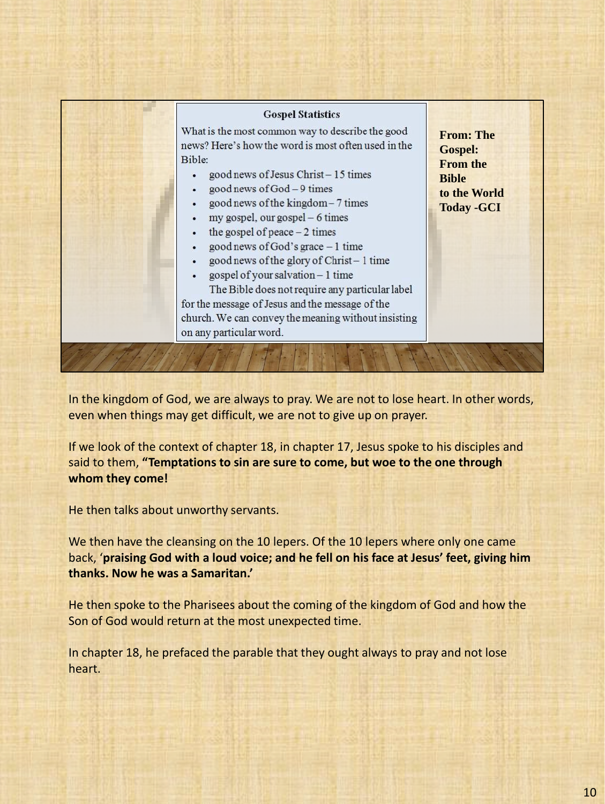#### **Gospel Statistics**

What is the most common way to describe the good news? Here's how the word is most often used in the Rible<sup>.</sup>

- good news of Jesus Christ-15 times
- good news of God 9 times  $\cdot$
- good news of the kingdom 7 times
- my gospel, our gospel 6 times
- the gospel of peace  $-2$  times
- good news of God's grace  $-1$  time
- good news of the glory of Christ-1 time
- gospel of your salvation 1 time

The Bible does not require any particular label for the message of Jesus and the message of the church. We can convey the meaning without insisting on any particular word.

**From: The Gospel: From the Bible to the World Today -GCI**

In the kingdom of God, we are always to pray. We are not to lose heart. In other words, even when things may get difficult, we are not to give up on prayer.

If we look of the context of chapter 18, in chapter 17, Jesus spoke to his disciples and said to them, **"Temptations to sin are sure to come, but woe to the one through whom they come!**

He then talks about unworthy servants.

We then have the cleansing on the 10 lepers. Of the 10 lepers where only one came back, '**praising God with a loud voice; and he fell on his face at Jesus' feet, giving him thanks. Now he was a Samaritan.'**

He then spoke to the Pharisees about the coming of the kingdom of God and how the Son of God would return at the most unexpected time.

In chapter 18, he prefaced the parable that they ought always to pray and not lose heart.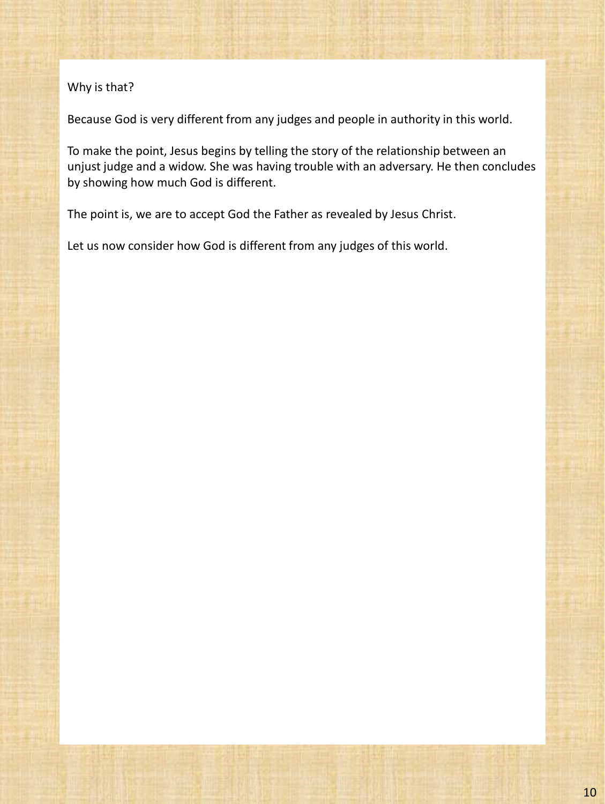### Why is that?

Because God is very different from any judges and people in authority in this world.

To make the point, Jesus begins by telling the story of the relationship between an unjust judge and a widow. She was having trouble with an adversary. He then concludes by showing how much God is different.

The point is, we are to accept God the Father as revealed by Jesus Christ.

Let us now consider how God is different from any judges of this world.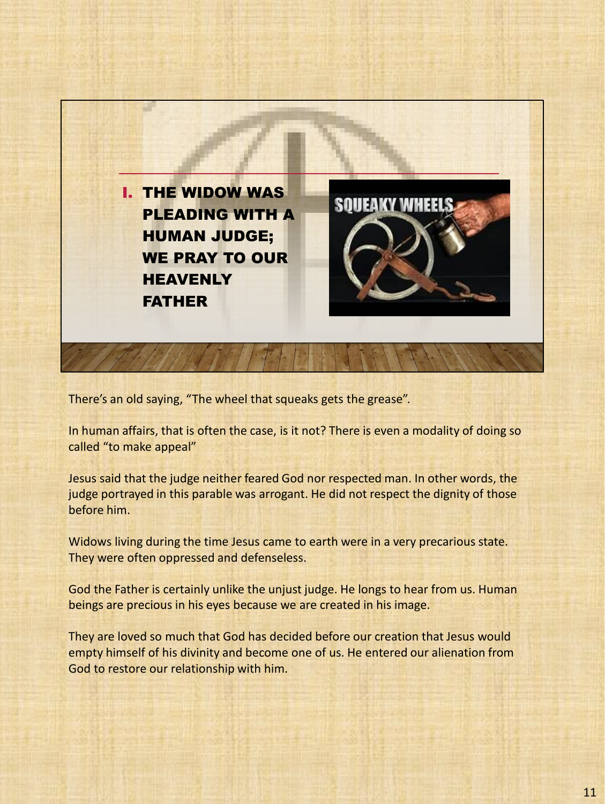

There's an old saying, "The wheel that squeaks gets the grease".

In human affairs, that is often the case, is it not? There is even a modality of doing so called "to make appeal"

Jesus said that the judge neither feared God nor respected man. In other words, the judge portrayed in this parable was arrogant. He did not respect the dignity of those before him.

Widows living during the time Jesus came to earth were in a very precarious state. They were often oppressed and defenseless.

God the Father is certainly unlike the unjust judge. He longs to hear from us. Human beings are precious in his eyes because we are created in his image.

They are loved so much that God has decided before our creation that Jesus would empty himself of his divinity and become one of us. He entered our alienation from God to restore our relationship with him.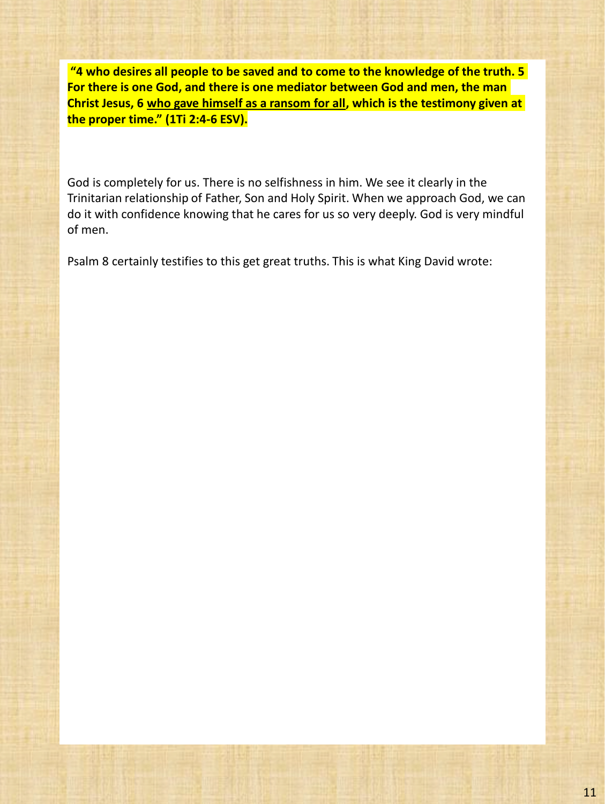**"4 who desires all people to be saved and to come to the knowledge of the truth. 5 For there is one God, and there is one mediator between God and men, the man Christ Jesus, 6 who gave himself as a ransom for all, which is the testimony given at the proper time." (1Ti 2:4-6 ESV).**

God is completely for us. There is no selfishness in him. We see it clearly in the Trinitarian relationship of Father, Son and Holy Spirit. When we approach God, we can do it with confidence knowing that he cares for us so very deeply. God is very mindful of men.

Psalm 8 certainly testifies to this get great truths. This is what King David wrote: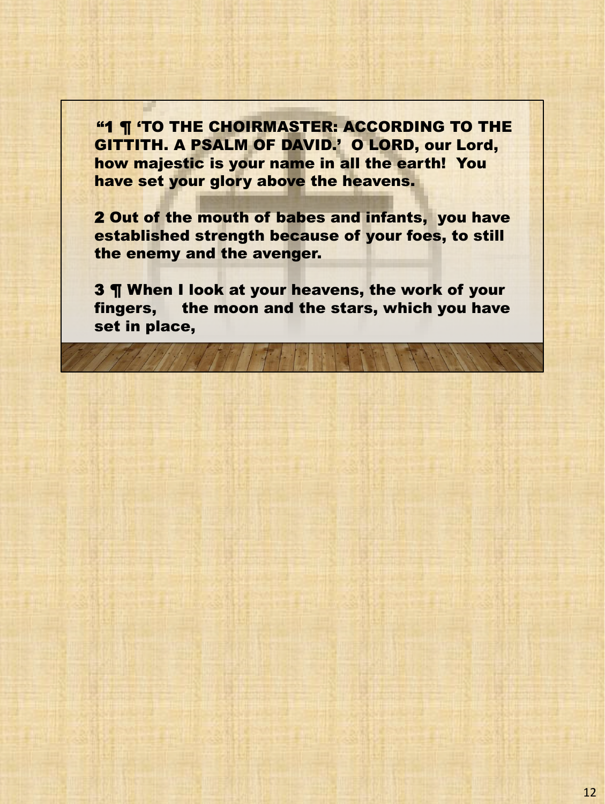**"1 ¶ 'TO THE CHOIRMASTER: ACCORDING TO THE** GITTITH. A PSALM OF DAVID.' O LORD, our Lord, how majestic is your name in all the earth! You have set your glory above the heavens.

2 Out of the mouth of babes and infants, you have established strength because of your foes, to still the enemy and the avenger.

3 ¶ When I look at your heavens, the work of your fingers, the moon and the stars, which you have set in place,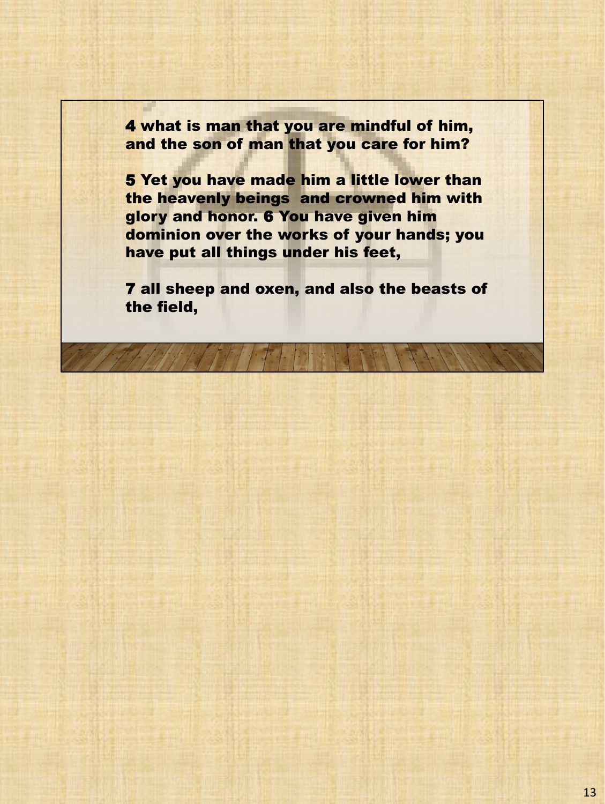4 what is man that you are mindful of him, and the son of man that you care for him?

5 Yet you have made him a little lower than the heavenly beings and crowned him with glory and honor. 6 You have given him dominion over the works of your hands; you have put all things under his feet,

7 all sheep and oxen, and also the beasts of the field,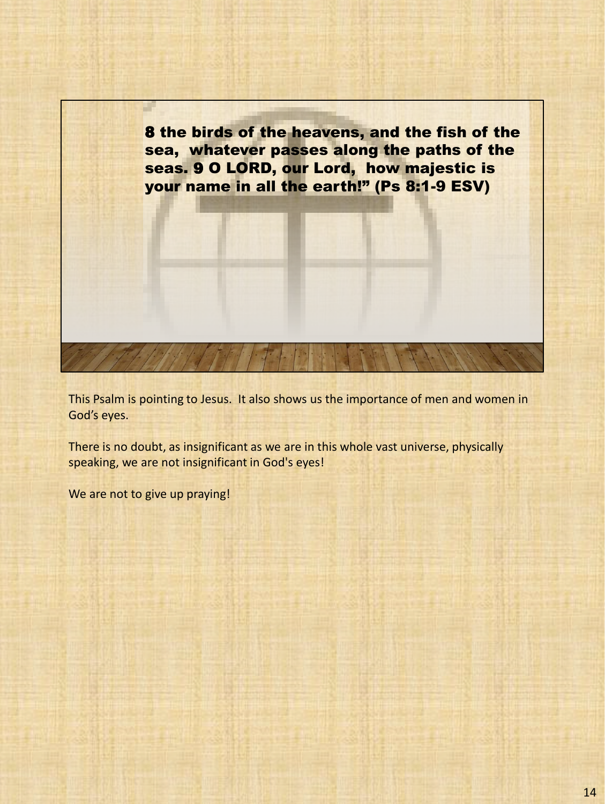

This Psalm is pointing to Jesus. It also shows us the importance of men and women in God's eyes.

There is no doubt, as insignificant as we are in this whole vast universe, physically speaking, we are not insignificant in God's eyes!

We are not to give up praying!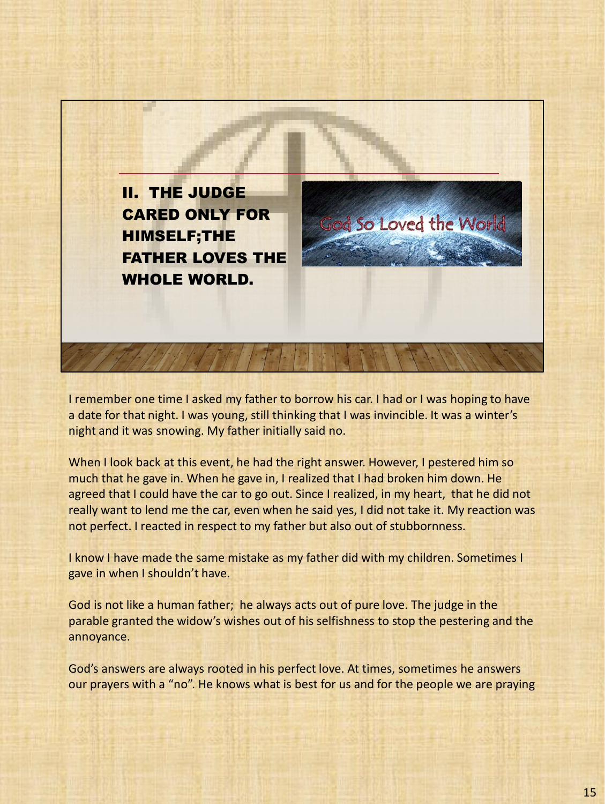

I remember one time I asked my father to borrow his car. I had or I was hoping to have a date for that night. I was young, still thinking that I was invincible. It was a winter's night and it was snowing. My father initially said no.

When I look back at this event, he had the right answer. However, I pestered him so much that he gave in. When he gave in, I realized that I had broken him down. He agreed that I could have the car to go out. Since I realized, in my heart, that he did not really want to lend me the car, even when he said yes, I did not take it. My reaction was not perfect. I reacted in respect to my father but also out of stubbornness.

I know I have made the same mistake as my father did with my children. Sometimes I gave in when I shouldn't have.

God is not like a human father; he always acts out of pure love. The judge in the parable granted the widow's wishes out of his selfishness to stop the pestering and the annoyance.

God's answers are always rooted in his perfect love. At times, sometimes he answers our prayers with a "no". He knows what is best for us and for the people we are praying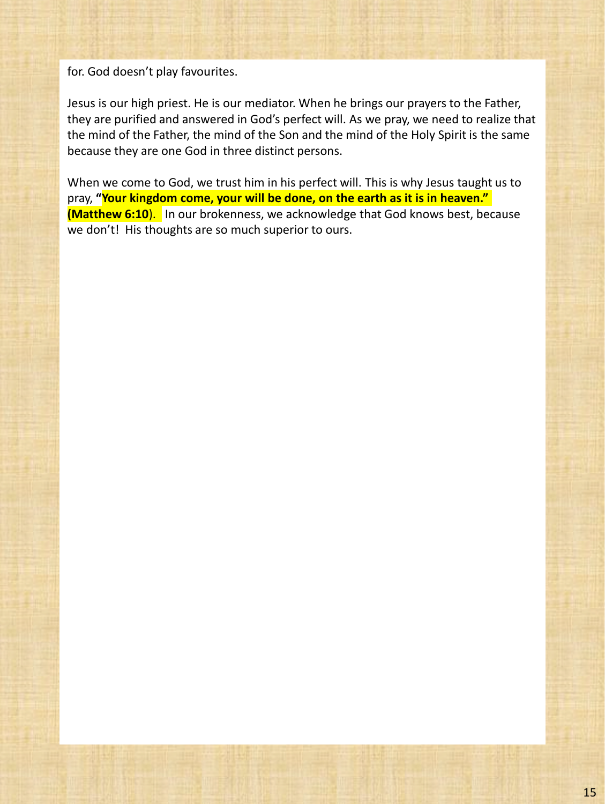for. God doesn't play favourites.

Jesus is our high priest. He is our mediator. When he brings our prayers to the Father, they are purified and answered in God's perfect will. As we pray, we need to realize that the mind of the Father, the mind of the Son and the mind of the Holy Spirit is the same because they are one God in three distinct persons.

When we come to God, we trust him in his perfect will. This is why Jesus taught us to pray, **"Your kingdom come, your will be done, on the earth as it is in heaven." (Matthew 6:10).** In our brokenness, we acknowledge that God knows best, because we don't! His thoughts are so much superior to ours.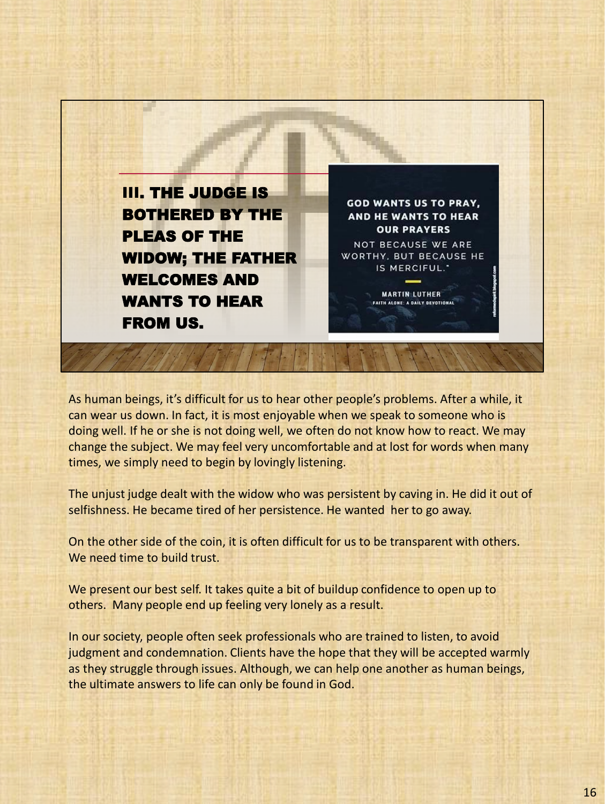

As human beings, it's difficult for us to hear other people's problems. After a while, it can wear us down. In fact, it is most enjoyable when we speak to someone who is doing well. If he or she is not doing well, we often do not know how to react. We may change the subject. We may feel very uncomfortable and at lost for words when many times, we simply need to begin by lovingly listening.

The unjust judge dealt with the widow who was persistent by caving in. He did it out of selfishness. He became tired of her persistence. He wanted her to go away.

On the other side of the coin, it is often difficult for us to be transparent with others. We need time to build trust.

We present our best self. It takes quite a bit of buildup confidence to open up to others. Many people end up feeling very lonely as a result.

In our society, people often seek professionals who are trained to listen, to avoid judgment and condemnation. Clients have the hope that they will be accepted warmly as they struggle through issues. Although, we can help one another as human beings, the ultimate answers to life can only be found in God.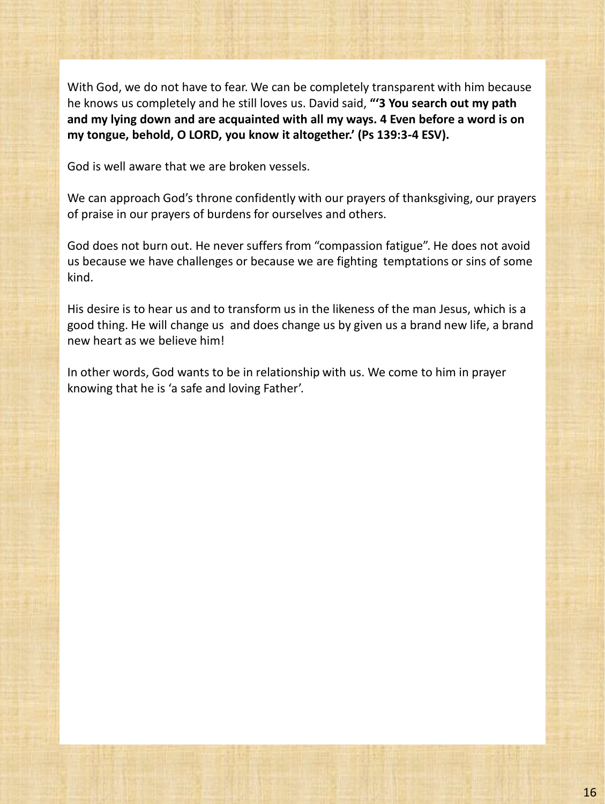With God, we do not have to fear. We can be completely transparent with him because he knows us completely and he still loves us. David said, **"'3 You search out my path and my lying down and are acquainted with all my ways. 4 Even before a word is on my tongue, behold, O LORD, you know it altogether.' (Ps 139:3-4 ESV).**

God is well aware that we are broken vessels.

We can approach God's throne confidently with our prayers of thanksgiving, our prayers of praise in our prayers of burdens for ourselves and others.

God does not burn out. He never suffers from "compassion fatigue". He does not avoid us because we have challenges or because we are fighting temptations or sins of some kind.

His desire is to hear us and to transform us in the likeness of the man Jesus, which is a good thing. He will change us and does change us by given us a brand new life, a brand new heart as we believe him!

In other words, God wants to be in relationship with us. We come to him in prayer knowing that he is 'a safe and loving Father'.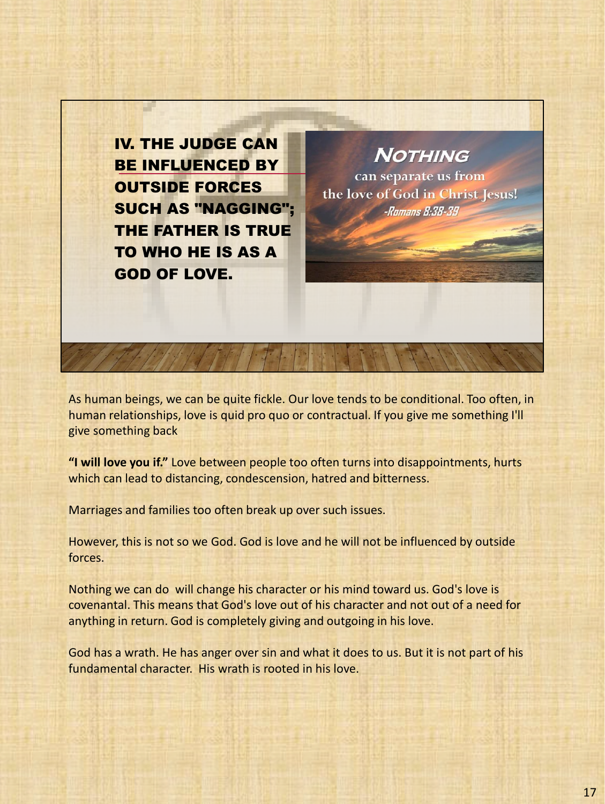IV. THE JUDGE CAN BE INFLUENCED BY OUTSIDE FORCES SUCH AS "NAGGING"; THE FATHER IS TRUE TO WHO HE IS AS A GOD OF LOVE.

**NOTHING** can separate us from

the love of God in Christ Jesus! -Romans 8:38-39

As human beings, we can be quite fickle. Our love tends to be conditional. Too often, in human relationships, love is quid pro quo or contractual. If you give me something I'll give something back

**"I will love you if."** Love between people too often turns into disappointments, hurts which can lead to distancing, condescension, hatred and bitterness.

Marriages and families too often break up over such issues.

However, this is not so we God. God is love and he will not be influenced by outside forces.

Nothing we can do will change his character or his mind toward us. God's love is covenantal. This means that God's love out of his character and not out of a need for anything in return. God is completely giving and outgoing in his love.

God has a wrath. He has anger over sin and what it does to us. But it is not part of his fundamental character. His wrath is rooted in his love.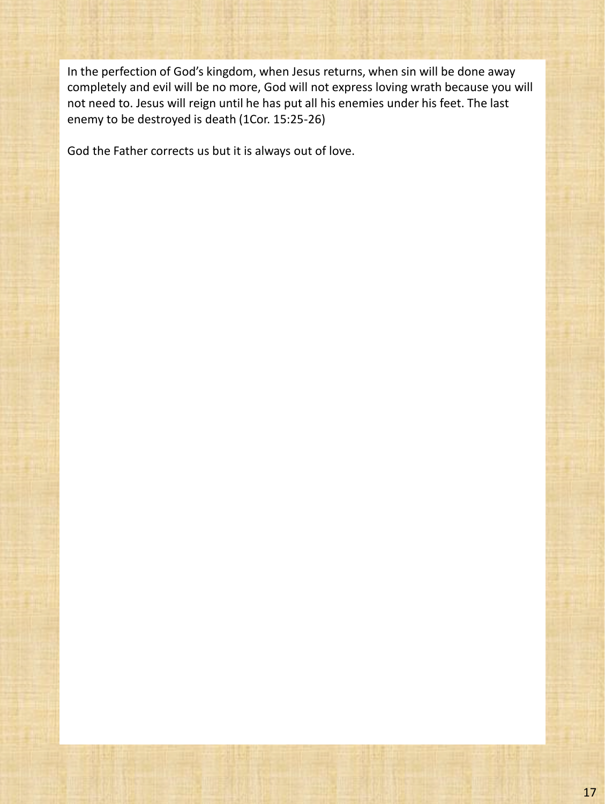In the perfection of God's kingdom, when Jesus returns, when sin will be done away completely and evil will be no more, God will not express loving wrath because you will not need to. Jesus will reign until he has put all his enemies under his feet. The last enemy to be destroyed is death (1Cor. 15:25-26)

God the Father corrects us but it is always out of love.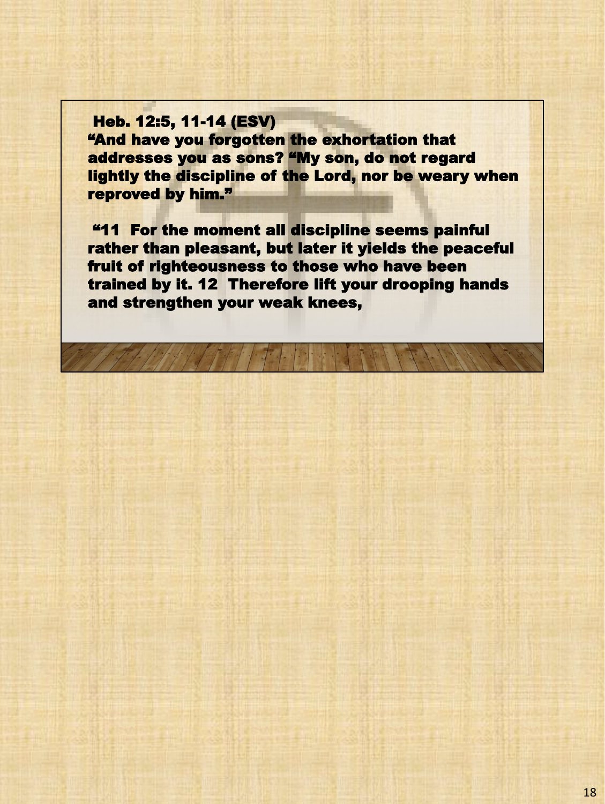Heb. 12:5, 11-14 (ESV) "And have you forgotten the exhortation that addresses you as sons? "My son, do not regard lightly the discipline of the Lord, nor be weary when reproved by him."

"11 For the moment all discipline seems painful rather than pleasant, but later it yields the peaceful fruit of righteousness to those who have been trained by it. 12 Therefore lift your drooping hands and strengthen your weak knees,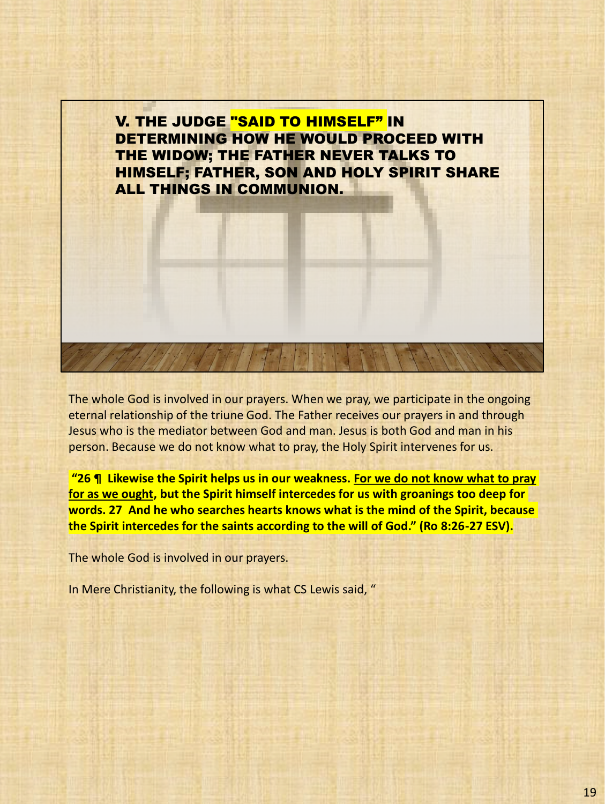

The whole God is involved in our prayers. When we pray, we participate in the ongoing eternal relationship of the triune God. The Father receives our prayers in and through Jesus who is the mediator between God and man. Jesus is both God and man in his person. Because we do not know what to pray, the Holy Spirit intervenes for us.

**"26 ¶ Likewise the Spirit helps us in our weakness. For we do not know what to pray for as we ought, but the Spirit himself intercedes for us with groanings too deep for words. 27 And he who searches hearts knows what is the mind of the Spirit, because the Spirit intercedes for the saints according to the will of God." (Ro 8:26-27 ESV).**

The whole God is involved in our prayers.

In Mere Christianity, the following is what CS Lewis said, "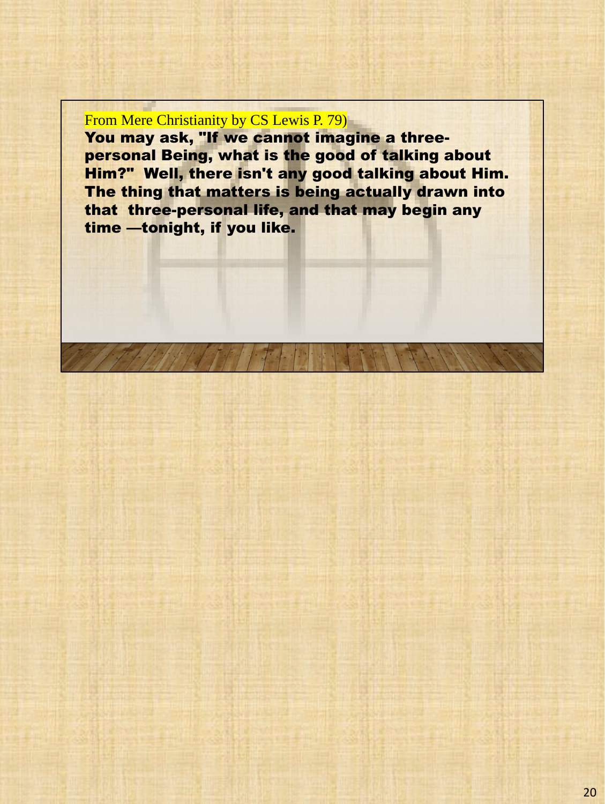## From Mere Christianity by CS Lewis P. 79)

You may ask, "If we cannot imagine a threepersonal Being, what is the good of talking about Him?" Well, there isn't any good talking about Him. The thing that matters is being actually drawn into that three-personal life, and that may begin any time —tonight, if you like.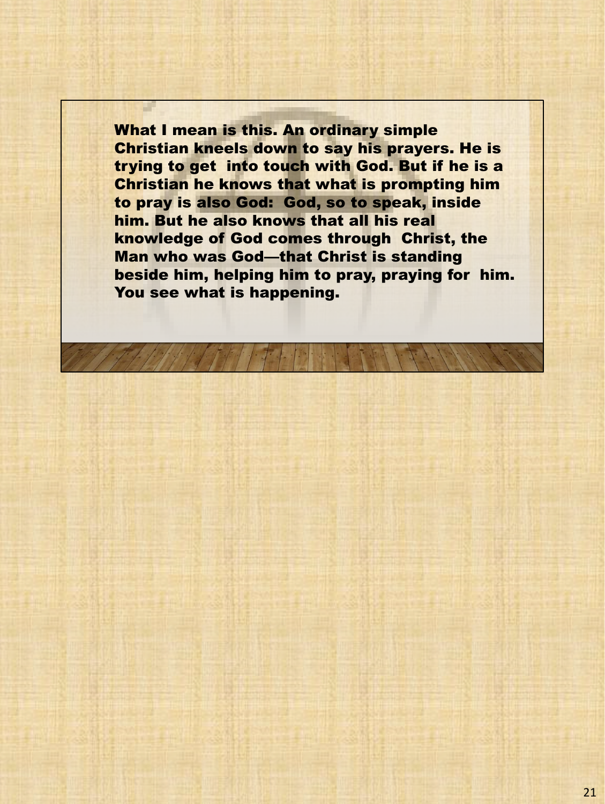What I mean is this. An ordinary simple Christian kneels down to say his prayers. He is trying to get into touch with God. But if he is a Christian he knows that what is prompting him to pray is also God: God, so to speak, inside him. But he also knows that all his real knowledge of God comes through Christ, the Man who was God—that Christ is standing beside him, helping him to pray, praying for him. You see what is happening.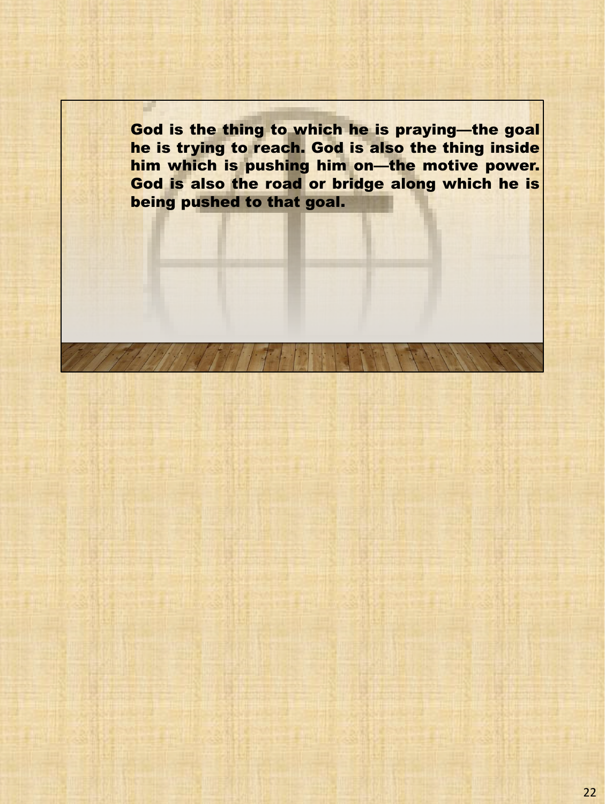God is the thing to which he is praying—the goal he is trying to reach. God is also the thing inside him which is pushing him on—the motive power. God is also the road or bridge along which he is being pushed to that goal.